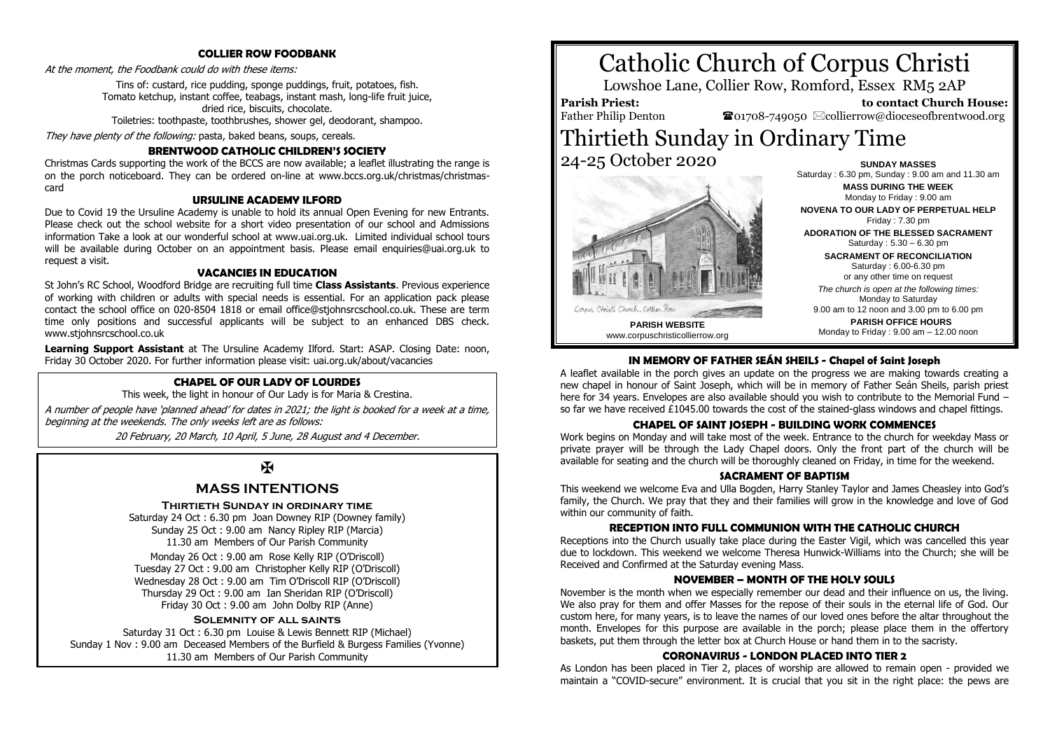#### **COLLIER ROW FOODBANK**

At the moment, the Foodbank could do with these items:

Tins of: custard, rice pudding, sponge puddings, fruit, potatoes, fish. Tomato ketchup, instant coffee, teabags, instant mash, long-life fruit juice, dried rice, biscuits, chocolate.

Toiletries: toothpaste, toothbrushes, shower gel, deodorant, shampoo.

They have plenty of the following: pasta, baked beans, soups, cereals.

#### **BRENTWOOD CATHOLIC CHILDREN'S SOCIETY**

Christmas Cards supporting the work of the BCCS are now available; a leaflet illustrating the range is on the porch noticeboard. They can be ordered on-line at www.bccs.org.uk/christmas/christmascard

#### **URSULINE ACADEMY ILFORD**

Due to Covid 19 the Ursuline Academy is unable to hold its annual Open Evening for new Entrants. Please check out the school website for a short video presentation of our school and Admissions information Take a look at our wonderful school at www.uai.org.uk. Limited individual school tours will be available during October on an appointment basis. Please email enquiries@uai.org.uk to request a visit.

#### **VACANCIES IN EDUCATION**

St John's RC School, Woodford Bridge are recruiting full time **Class Assistants**. Previous experience of working with children or adults with special needs is essential. For an application pack please contact the school office on 020-8504 1818 or email office@stjohnsrcschool.co.uk. These are term time only positions and successful applicants will be subject to an enhanced DBS check. www.stjohnsrcschool.co.uk

**Learning Support Assistant** at The Ursuline Academy Ilford. Start: ASAP. Closing Date: noon, Friday 30 October 2020. For further information please visit: uai.org.uk/about/vacancies

#### **CHAPEL OF OUR LADY OF LOURDES**

This week, the light in honour of Our Lady is for Maria & Crestina.

A number of people have 'planned ahead' for dates in 2021; the light is booked for a week at a time, beginning at the weekends. The only weeks left are as follows:

20 February, 20 March, 10 April, 5 June, 28 August and 4 December.

 $\overline{\mathbf{X}}$ 

### **MASS INTENTIONS**

#### **Thirtieth Sunday in ordinary time**

Saturday 24 Oct : 6.30 pm Joan Downey RIP (Downey family) Sunday 25 Oct : 9.00 am Nancy Ripley RIP (Marcia) 11.30 am Members of Our Parish Community

Monday 26 Oct : 9.00 am Rose Kelly RIP (O'Driscoll) Tuesday 27 Oct : 9.00 am Christopher Kelly RIP (O'Driscoll) Wednesday 28 Oct : 9.00 am Tim O'Driscoll RIP (O'Driscoll) Thursday 29 Oct : 9.00 am Ian Sheridan RIP (O'Driscoll) Friday 30 Oct : 9.00 am John Dolby RIP (Anne)

#### **Solemnity of all saints**

Saturday 31 Oct : 6.30 pm Louise & Lewis Bennett RIP (Michael) Sunday 1 Nov : 9.00 am Deceased Members of the Burfield & Burgess Families (Yvonne) 11.30 am Members of Our Parish Community

# Catholic Church of Corpus Christi

Lowshoe Lane, Collier Row, Romford, Essex RM5 2AP

**Parish Priest:** Father Philip Denton

 **to contact Church House:**  $\bullet$ 01708-749050  $\boxtimes$ collierrow@dioceseofbrentwood.org

## Thirtieth Sunday in Ordinary Time 24-25 October 2020 **SUNDAY MASSES**



Saturday : 6.30 pm, Sunday : 9.00 am and 11.30 am **MASS DURING THE WEEK** Monday to Friday : 9.00 am **NOVENA TO OUR LADY OF PERPETUAL HELP** Friday : 7.30 pm **ADORATION OF THE BLESSED SACRAMENT** Saturday : 5.30 – 6.30 pm **SACRAMENT OF RECONCILIATION** Saturday : 6.00-6.30 pm or any other time on request *The church is open at the following times:* Monday to Saturday 9.00 am to 12 noon and 3.00 pm to 6.00 pm **PARISH OFFICE HOURS**

Monday to Friday : 9.00 am – 12.00 noon

#### **IN MEMORY OF FATHER SEÁN SHEILS - Chapel of Saint Joseph**

A leaflet available in the porch gives an update on the progress we are making towards creating a new chapel in honour of Saint Joseph, which will be in memory of Father Seán Sheils, parish priest here for 34 years. Envelopes are also available should you wish to contribute to the Memorial Fund – so far we have received £1045.00 towards the cost of the stained-glass windows and chapel fittings.

#### **CHAPEL OF SAINT JOSEPH - BUILDING WORK COMMENCES**

Work begins on Monday and will take most of the week. Entrance to the church for weekday Mass or private prayer will be through the Lady Chapel doors. Only the front part of the church will be available for seating and the church will be thoroughly cleaned on Friday, in time for the weekend.

#### **SACRAMENT OF RADTISM**

This weekend we welcome Eva and Ulla Bogden, Harry Stanley Taylor and James Cheasley into God's family, the Church. We pray that they and their families will grow in the knowledge and love of God within our community of faith.

#### **RECEPTION INTO FULL COMMUNION WITH THE CATHOLIC CHURCH**

Receptions into the Church usually take place during the Easter Vigil, which was cancelled this year due to lockdown. This weekend we welcome Theresa Hunwick-Williams into the Church; she will be Received and Confirmed at the Saturday evening Mass.

#### **NOVEMBER – MONTH OF THE HOLY SOULS**

November is the month when we especially remember our dead and their influence on us, the living. We also pray for them and offer Masses for the repose of their souls in the eternal life of God. Our custom here, for many years, is to leave the names of our loved ones before the altar throughout the month. Envelopes for this purpose are available in the porch; please place them in the offertory baskets, put them through the letter box at Church House or hand them in to the sacristy.

#### **CORONAVIRUS - LONDON PLACED INTO TIER 2**

As London has been placed in Tier 2, places of worship are allowed to remain open - provided we maintain a "COVID-secure" environment. It is crucial that you sit in the right place: the pews are